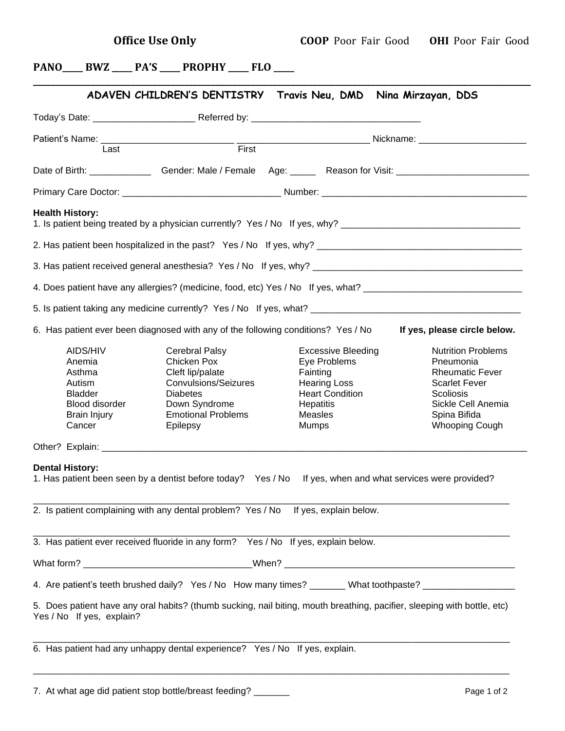# **PANO\_\_\_\_\_ BWZ \_\_\_\_\_ PA'S \_\_\_\_\_ PROPHY \_\_\_\_\_ FLO \_\_\_\_\_**

|                                                                                                      | Today's Date: ______________________Referred by: _______________________________                                                                                                                 |                                                                                                                                                |                                                                                                                                                                             |
|------------------------------------------------------------------------------------------------------|--------------------------------------------------------------------------------------------------------------------------------------------------------------------------------------------------|------------------------------------------------------------------------------------------------------------------------------------------------|-----------------------------------------------------------------------------------------------------------------------------------------------------------------------------|
|                                                                                                      |                                                                                                                                                                                                  |                                                                                                                                                |                                                                                                                                                                             |
| Last                                                                                                 | First                                                                                                                                                                                            |                                                                                                                                                |                                                                                                                                                                             |
|                                                                                                      |                                                                                                                                                                                                  |                                                                                                                                                |                                                                                                                                                                             |
|                                                                                                      |                                                                                                                                                                                                  |                                                                                                                                                |                                                                                                                                                                             |
| <b>Health History:</b>                                                                               | 1. Is patient being treated by a physician currently? Yes / No If yes, why? __________________________________                                                                                   |                                                                                                                                                |                                                                                                                                                                             |
|                                                                                                      |                                                                                                                                                                                                  |                                                                                                                                                |                                                                                                                                                                             |
|                                                                                                      |                                                                                                                                                                                                  |                                                                                                                                                |                                                                                                                                                                             |
|                                                                                                      |                                                                                                                                                                                                  |                                                                                                                                                |                                                                                                                                                                             |
|                                                                                                      |                                                                                                                                                                                                  |                                                                                                                                                |                                                                                                                                                                             |
|                                                                                                      | 6. Has patient ever been diagnosed with any of the following conditions? Yes / No                                                                                                                |                                                                                                                                                | If yes, please circle below.                                                                                                                                                |
| AIDS/HIV<br>Anemia<br>Asthma<br>Autism<br><b>Bladder</b><br>Blood disorder<br>Brain Injury<br>Cancer | Cerebral Palsy<br>Chicken Pox<br>Cleft lip/palate<br>Convulsions/Seizures<br><b>Diabetes</b><br>Down Syndrome<br><b>Emotional Problems</b><br>Epilepsy                                           | <b>Excessive Bleeding</b><br>Eye Problems<br>Fainting<br><b>Hearing Loss</b><br><b>Heart Condition</b><br>Hepatitis<br>Measles<br><b>Mumps</b> | <b>Nutrition Problems</b><br>Pneumonia<br><b>Rheumatic Fever</b><br><b>Scarlet Fever</b><br><b>Scoliosis</b><br>Sickle Cell Anemia<br>Spina Bifida<br><b>Whooping Cough</b> |
|                                                                                                      |                                                                                                                                                                                                  |                                                                                                                                                |                                                                                                                                                                             |
| <b>Dental History:</b>                                                                               | 1. Has patient been seen by a dentist before today? Yes / No If yes, when and what services were provided?<br>2. Is patient complaining with any dental problem? Yes / No If yes, explain below. |                                                                                                                                                |                                                                                                                                                                             |
|                                                                                                      | 3. Has patient ever received fluoride in any form? Yes / No If yes, explain below.                                                                                                               |                                                                                                                                                |                                                                                                                                                                             |
|                                                                                                      |                                                                                                                                                                                                  |                                                                                                                                                |                                                                                                                                                                             |
|                                                                                                      | 4. Are patient's teeth brushed daily? Yes / No How many times? ______ What toothpaste? ___________________                                                                                       |                                                                                                                                                |                                                                                                                                                                             |
|                                                                                                      |                                                                                                                                                                                                  |                                                                                                                                                |                                                                                                                                                                             |

\_\_\_\_\_\_\_\_\_\_\_\_\_\_\_\_\_\_\_\_\_\_\_\_\_\_\_\_\_\_\_\_\_\_\_\_\_\_\_\_\_\_\_\_\_\_\_\_\_\_\_\_\_\_\_\_\_\_\_\_\_\_\_\_\_\_\_\_\_\_\_\_\_\_\_\_\_\_\_\_\_\_\_\_\_\_\_\_\_\_\_\_\_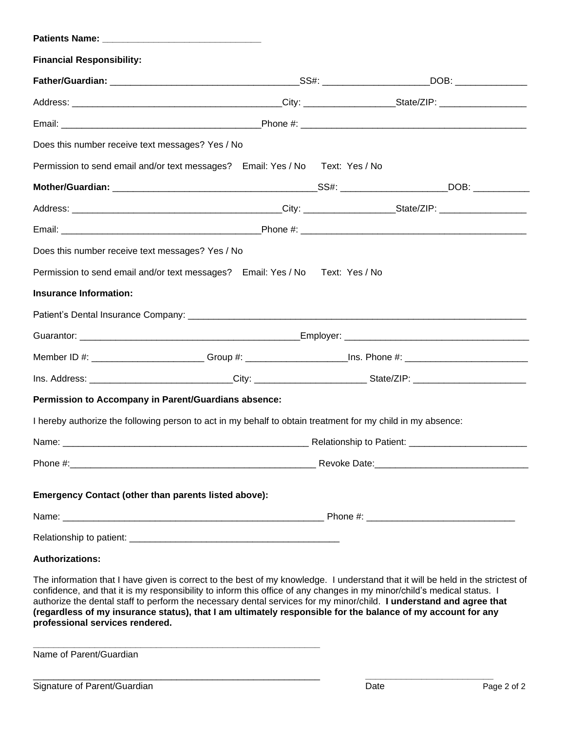| <b>Financial Responsibility:</b>                                                                               |                                 |  |  |  |
|----------------------------------------------------------------------------------------------------------------|---------------------------------|--|--|--|
|                                                                                                                |                                 |  |  |  |
|                                                                                                                |                                 |  |  |  |
|                                                                                                                |                                 |  |  |  |
| Does this number receive text messages? Yes / No                                                               |                                 |  |  |  |
| Permission to send email and/or text messages? Email: Yes / No Text: Yes / No                                  |                                 |  |  |  |
|                                                                                                                |                                 |  |  |  |
|                                                                                                                |                                 |  |  |  |
|                                                                                                                |                                 |  |  |  |
| Does this number receive text messages? Yes / No                                                               |                                 |  |  |  |
| Permission to send email and/or text messages? Email: Yes / No Text: Yes / No                                  |                                 |  |  |  |
| <b>Insurance Information:</b>                                                                                  |                                 |  |  |  |
|                                                                                                                |                                 |  |  |  |
|                                                                                                                |                                 |  |  |  |
| Member ID #: _________________________Group #: ________________________Ins. Phone #: _________________________ |                                 |  |  |  |
|                                                                                                                |                                 |  |  |  |
| Permission to Accompany in Parent/Guardians absence:                                                           |                                 |  |  |  |
| I hereby authorize the following person to act in my behalf to obtain treatment for my child in my absence:    |                                 |  |  |  |
| Name:                                                                                                          | <b>Relationship to Patient:</b> |  |  |  |
|                                                                                                                |                                 |  |  |  |
| Emergency Contact (other than parents listed above):                                                           |                                 |  |  |  |
|                                                                                                                |                                 |  |  |  |
|                                                                                                                |                                 |  |  |  |
|                                                                                                                |                                 |  |  |  |
| <b>Authorizations:</b>                                                                                         |                                 |  |  |  |

The information that I have given is correct to the best of my knowledge. I understand that it will be held in the strictest of confidence, and that it is my responsibility to inform this office of any changes in my minor/child's medical status. I authorize the dental staff to perform the necessary dental services for my minor/child. **I understand and agree that** (regardless of my insurance status), that I am ultimately responsible for the balance of my account for any **professional services rendered.** 

\_\_\_\_\_\_\_\_\_\_\_\_\_\_\_\_\_\_\_\_\_\_\_\_\_\_\_\_\_\_\_\_\_\_\_\_\_\_\_\_\_\_\_\_\_\_\_\_\_\_\_\_\_\_\_\_ **\_\_\_\_\_\_\_\_\_\_\_\_\_\_\_\_\_\_\_\_\_\_\_\_\_**

Name of Parent/Guardian

**\_\_\_\_\_\_\_\_\_\_\_\_\_\_\_\_\_\_\_\_\_\_\_\_\_\_\_\_\_\_\_\_\_\_\_\_\_\_\_\_\_\_\_\_\_\_\_\_\_\_\_\_\_\_\_\_**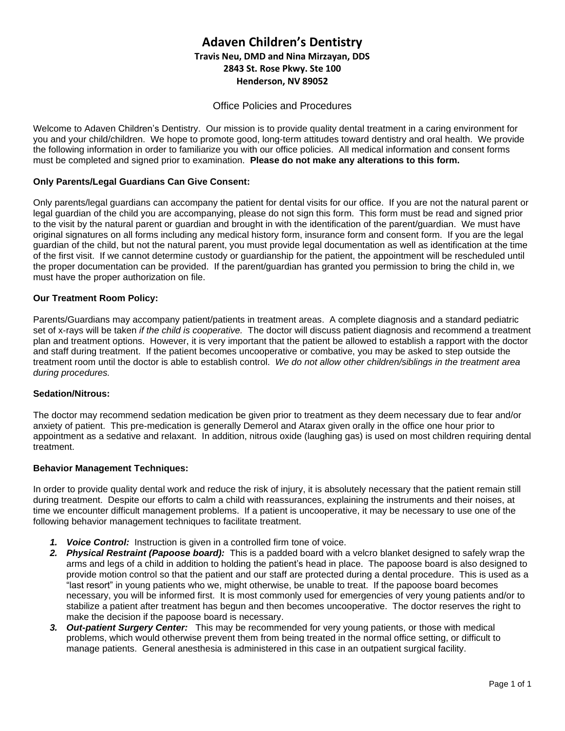# **Adaven Children's Dentistry Travis Neu, DMD and Nina Mirzayan, DDS 2843 St. Rose Pkwy. Ste 100 Henderson, NV 89052**

# Office Policies and Procedures

Welcome to Adaven Children's Dentistry. Our mission is to provide quality dental treatment in a caring environment for you and your child/children. We hope to promote good, long-term attitudes toward dentistry and oral health. We provide the following information in order to familiarize you with our office policies. All medical information and consent forms must be completed and signed prior to examination. **Please do not make any alterations to this form.**

# **Only Parents/Legal Guardians Can Give Consent:**

Only parents/legal guardians can accompany the patient for dental visits for our office. If you are not the natural parent or legal guardian of the child you are accompanying, please do not sign this form. This form must be read and signed prior to the visit by the natural parent or guardian and brought in with the identification of the parent/guardian. We must have original signatures on all forms including any medical history form, insurance form and consent form. If you are the legal guardian of the child, but not the natural parent, you must provide legal documentation as well as identification at the time of the first visit. If we cannot determine custody or guardianship for the patient, the appointment will be rescheduled until the proper documentation can be provided. If the parent/guardian has granted you permission to bring the child in, we must have the proper authorization on file.

### **Our Treatment Room Policy:**

Parents/Guardians may accompany patient/patients in treatment areas. A complete diagnosis and a standard pediatric set of x-rays will be taken *if the child is cooperative.* The doctor will discuss patient diagnosis and recommend a treatment plan and treatment options. However, it is very important that the patient be allowed to establish a rapport with the doctor and staff during treatment. If the patient becomes uncooperative or combative, you may be asked to step outside the treatment room until the doctor is able to establish control. *We do not allow other children/siblings in the treatment area during procedures.*

### **Sedation/Nitrous:**

The doctor may recommend sedation medication be given prior to treatment as they deem necessary due to fear and/or anxiety of patient. This pre-medication is generally Demerol and Atarax given orally in the office one hour prior to appointment as a sedative and relaxant. In addition, nitrous oxide (laughing gas) is used on most children requiring dental treatment.

### **Behavior Management Techniques:**

In order to provide quality dental work and reduce the risk of injury, it is absolutely necessary that the patient remain still during treatment. Despite our efforts to calm a child with reassurances, explaining the instruments and their noises, at time we encounter difficult management problems. If a patient is uncooperative, it may be necessary to use one of the following behavior management techniques to facilitate treatment.

- *1. Voice Control:* Instruction is given in a controlled firm tone of voice.
- *2. Physical Restraint (Papoose board):* This is a padded board with a velcro blanket designed to safely wrap the arms and legs of a child in addition to holding the patient's head in place. The papoose board is also designed to provide motion control so that the patient and our staff are protected during a dental procedure. This is used as a "last resort" in young patients who we, might otherwise, be unable to treat. If the papoose board becomes necessary, you will be informed first. It is most commonly used for emergencies of very young patients and/or to stabilize a patient after treatment has begun and then becomes uncooperative. The doctor reserves the right to make the decision if the papoose board is necessary.
- *3. Out-patient Surgery Center:* This may be recommended for very young patients, or those with medical problems, which would otherwise prevent them from being treated in the normal office setting, or difficult to manage patients. General anesthesia is administered in this case in an outpatient surgical facility.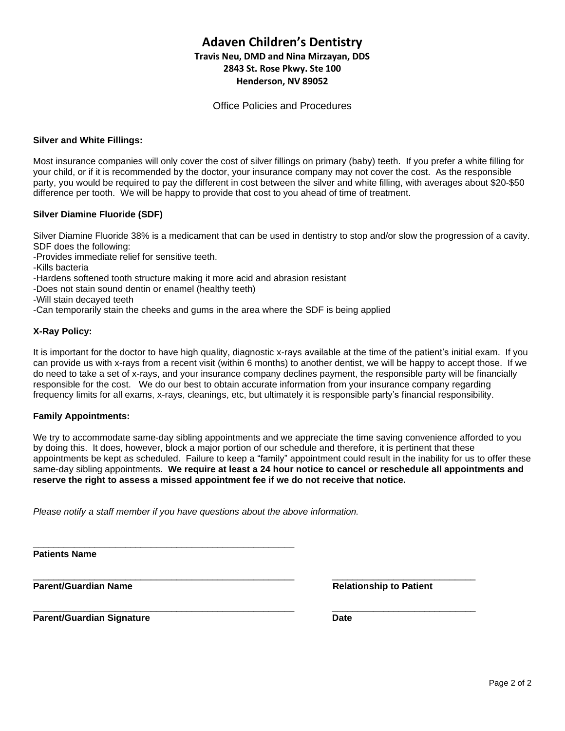# **Adaven Children's Dentistry Travis Neu, DMD and Nina Mirzayan, DDS 2843 St. Rose Pkwy. Ste 100 Henderson, NV 89052**

Office Policies and Procedures

### **Silver and White Fillings:**

Most insurance companies will only cover the cost of silver fillings on primary (baby) teeth. If you prefer a white filling for your child, or if it is recommended by the doctor, your insurance company may not cover the cost. As the responsible party, you would be required to pay the different in cost between the silver and white filling, with averages about \$20-\$50 difference per tooth. We will be happy to provide that cost to you ahead of time of treatment.

### **Silver Diamine Fluoride (SDF)**

Silver Diamine Fluoride 38% is a medicament that can be used in dentistry to stop and/or slow the progression of a cavity. SDF does the following:

- -Provides immediate relief for sensitive teeth.
- -Kills bacteria
- -Hardens softened tooth structure making it more acid and abrasion resistant
- -Does not stain sound dentin or enamel (healthy teeth)

-Will stain decayed teeth

-Can temporarily stain the cheeks and gums in the area where the SDF is being applied

### **X-Ray Policy:**

It is important for the doctor to have high quality, diagnostic x-rays available at the time of the patient's initial exam. If you can provide us with x-rays from a recent visit (within 6 months) to another dentist, we will be happy to accept those. If we do need to take a set of x-rays, and your insurance company declines payment, the responsible party will be financially responsible for the cost. We do our best to obtain accurate information from your insurance company regarding frequency limits for all exams, x-rays, cleanings, etc, but ultimately it is responsible party's financial responsibility.

#### **Family Appointments:**

We try to accommodate same-day sibling appointments and we appreciate the time saving convenience afforded to you by doing this. It does, however, block a major portion of our schedule and therefore, it is pertinent that these appointments be kept as scheduled. Failure to keep a "family" appointment could result in the inability for us to offer these same-day sibling appointments. **We require at least a 24 hour notice to cancel or reschedule all appointments and reserve the right to assess a missed appointment fee if we do not receive that notice.** 

\_\_\_\_\_\_\_\_\_\_\_\_\_\_\_\_\_\_\_\_\_\_\_\_\_\_\_\_\_\_\_\_\_\_\_\_\_\_\_\_\_\_\_\_\_\_\_\_\_\_\_ \_\_\_\_\_\_\_\_\_\_\_\_\_\_\_\_\_\_\_\_\_\_\_\_\_\_\_\_

*Please notify a staff member if you have questions about the above information.*

\_\_\_\_\_\_\_\_\_\_\_\_\_\_\_\_\_\_\_\_\_\_\_\_\_\_\_\_\_\_\_\_\_\_\_\_\_\_\_\_\_\_\_\_\_\_\_\_\_\_\_

**Patients Name**

**Parent/Guardian Name Relationship to Patient**

**Parent/Guardian Signature Date** 

\_\_\_\_\_\_\_\_\_\_\_\_\_\_\_\_\_\_\_\_\_\_\_\_\_\_\_\_\_\_\_\_\_\_\_\_\_\_\_\_\_\_\_\_\_\_\_\_\_\_\_ \_\_\_\_\_\_\_\_\_\_\_\_\_\_\_\_\_\_\_\_\_\_\_\_\_\_\_\_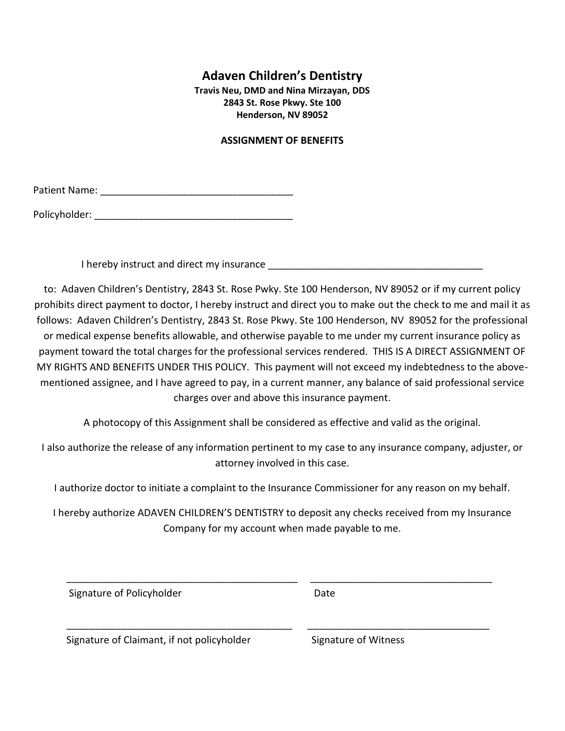# **Adaven Children's Dentistry**

**Travis Neu, DMD and Nina Mirzayan, DDS 2843 St. Rose Pkwy. Ste 100 Henderson, NV 89052**

# **ASSIGNMENT OF BENEFITS**

Patient Name: \_\_\_\_\_\_\_\_\_\_\_\_\_\_\_\_\_\_\_\_\_\_\_\_\_\_\_\_\_\_\_\_\_\_\_

Policyholder: \_\_\_\_\_\_\_\_\_\_\_\_\_\_\_\_\_\_\_\_\_\_\_\_\_\_\_\_\_\_\_\_\_\_\_\_

I hereby instruct and direct my insurance

to: Adaven Children's Dentistry, 2843 St. Rose Pwky. Ste 100 Henderson, NV 89052 or if my current policy prohibits direct payment to doctor, I hereby instruct and direct you to make out the check to me and mail it as follows: Adaven Children's Dentistry, 2843 St. Rose Pkwy. Ste 100 Henderson, NV 89052 for the professional or medical expense benefits allowable, and otherwise payable to me under my current insurance policy as payment toward the total charges for the professional services rendered. THIS IS A DIRECT ASSIGNMENT OF MY RIGHTS AND BENEFITS UNDER THIS POLICY. This payment will not exceed my indebtedness to the abovementioned assignee, and I have agreed to pay, in a current manner, any balance of said professional service charges over and above this insurance payment.

A photocopy of this Assignment shall be considered as effective and valid as the original.

I also authorize the release of any information pertinent to my case to any insurance company, adjuster, or attorney involved in this case.

I authorize doctor to initiate a complaint to the Insurance Commissioner for any reason on my behalf.

I hereby authorize ADAVEN CHILDREN'S DENTISTRY to deposit any checks received from my Insurance Company for my account when made payable to me.

\_\_\_\_\_\_\_\_\_\_\_\_\_\_\_\_\_\_\_\_\_\_\_\_\_\_\_\_\_\_\_\_\_\_\_\_\_\_\_\_\_\_ \_\_\_\_\_\_\_\_\_\_\_\_\_\_\_\_\_\_\_\_\_\_\_\_\_\_\_\_\_\_\_\_\_

\_\_\_\_\_\_\_\_\_\_\_\_\_\_\_\_\_\_\_\_\_\_\_\_\_\_\_\_\_\_\_\_\_\_\_\_\_\_\_\_\_ \_\_\_\_\_\_\_\_\_\_\_\_\_\_\_\_\_\_\_\_\_\_\_\_\_\_\_\_\_\_\_\_\_

Signature of Policyholder **Date** Date

Signature of Claimant, if not policyholder Signature of Witness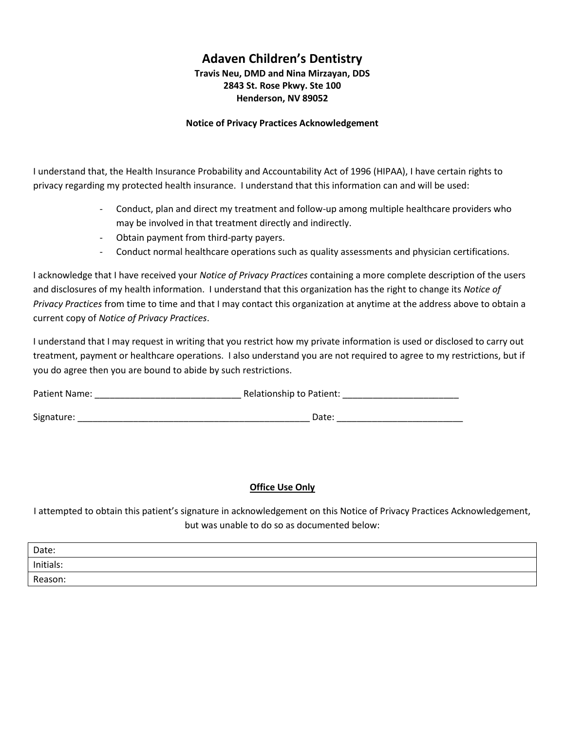# **Adaven Children's Dentistry Travis Neu, DMD and Nina Mirzayan, DDS 2843 St. Rose Pkwy. Ste 100 Henderson, NV 89052**

# **Notice of Privacy Practices Acknowledgement**

I understand that, the Health Insurance Probability and Accountability Act of 1996 (HIPAA), I have certain rights to privacy regarding my protected health insurance. I understand that this information can and will be used:

- Conduct, plan and direct my treatment and follow-up among multiple healthcare providers who may be involved in that treatment directly and indirectly.
- Obtain payment from third-party payers.
- Conduct normal healthcare operations such as quality assessments and physician certifications.

I acknowledge that I have received your *Notice of Privacy Practices* containing a more complete description of the users and disclosures of my health information. I understand that this organization has the right to change its *Notice of Privacy Practices* from time to time and that I may contact this organization at anytime at the address above to obtain a current copy of *Notice of Privacy Practices*.

I understand that I may request in writing that you restrict how my private information is used or disclosed to carry out treatment, payment or healthcare operations. I also understand you are not required to agree to my restrictions, but if you do agree then you are bound to abide by such restrictions.

| Patient Name: | Relationship to Patient: |  |
|---------------|--------------------------|--|
| Signature:    | Date:                    |  |

# **Office Use Only**

I attempted to obtain this patient's signature in acknowledgement on this Notice of Privacy Practices Acknowledgement, but was unable to do so as documented below:

| Date:     |  |
|-----------|--|
| Initials: |  |
| Reason:   |  |